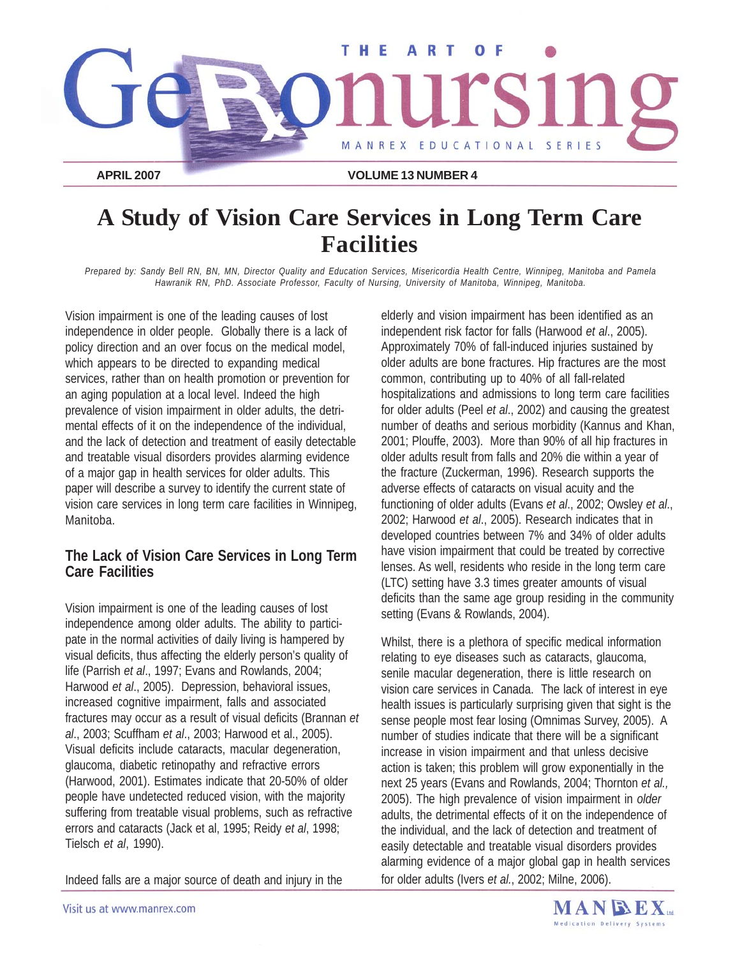

# **A Study of Vision Care Services in Long Term Care Facilities**

*Prepared by: Sandy Bell RN, BN, MN, Director Quality and Education Services, Misericordia Health Centre, Winnipeg, Manitoba and Pamela Hawranik RN, PhD. Associate Professor, Faculty of Nursing, University of Manitoba, Winnipeg, Manitoba.*

Vision impairment is one of the leading causes of lost independence in older people. Globally there is a lack of policy direction and an over focus on the medical model, which appears to be directed to expanding medical services, rather than on health promotion or prevention for an aging population at a local level. Indeed the high prevalence of vision impairment in older adults, the detrimental effects of it on the independence of the individual, and the lack of detection and treatment of easily detectable and treatable visual disorders provides alarming evidence of a major gap in health services for older adults. This paper will describe a survey to identify the current state of vision care services in long term care facilities in Winnipeg, Manitoba.

#### **The Lack of Vision Care Services in Long Term Care Facilities**

Vision impairment is one of the leading causes of lost independence among older adults. The ability to participate in the normal activities of daily living is hampered by visual deficits, thus affecting the elderly person's quality of life (Parrish *et al*., 1997; Evans and Rowlands, 2004; Harwood *et al*., 2005). Depression, behavioral issues, increased cognitive impairment, falls and associated fractures may occur as a result of visual deficits (Brannan *et al*., 2003; Scuffham *et al*., 2003; Harwood et al., 2005). Visual deficits include cataracts, macular degeneration, glaucoma, diabetic retinopathy and refractive errors (Harwood, 2001). Estimates indicate that 20-50% of older people have undetected reduced vision, with the majority suffering from treatable visual problems, such as refractive errors and cataracts (Jack et al, 1995; Reidy *et al*, 1998; Tielsch *et al*, 1990).

Indeed falls are a major source of death and injury in the

elderly and vision impairment has been identified as an independent risk factor for falls (Harwood *et al*., 2005). Approximately 70% of fall-induced injuries sustained by older adults are bone fractures. Hip fractures are the most common, contributing up to 40% of all fall-related hospitalizations and admissions to long term care facilities for older adults (Peel *et al*., 2002) and causing the greatest number of deaths and serious morbidity (Kannus and Khan, 2001; Plouffe, 2003). More than 90% of all hip fractures in older adults result from falls and 20% die within a year of the fracture (Zuckerman, 1996). Research supports the adverse effects of cataracts on visual acuity and the functioning of older adults (Evans *et al*., 2002; Owsley *et al*., 2002; Harwood *et al*., 2005). Research indicates that in developed countries between 7% and 34% of older adults have vision impairment that could be treated by corrective lenses. As well, residents who reside in the long term care (LTC) setting have 3.3 times greater amounts of visual deficits than the same age group residing in the community setting (Evans & Rowlands, 2004).

Whilst, there is a plethora of specific medical information relating to eye diseases such as cataracts, glaucoma, senile macular degeneration, there is little research on vision care services in Canada. The lack of interest in eye health issues is particularly surprising given that sight is the sense people most fear losing (Omnimas Survey, 2005). A number of studies indicate that there will be a significant increase in vision impairment and that unless decisive action is taken; this problem will grow exponentially in the next 25 years (Evans and Rowlands, 2004; Thornton *et al.,* 2005). The high prevalence of vision impairment in *older* adults, the detrimental effects of it on the independence of the individual, and the lack of detection and treatment of easily detectable and treatable visual disorders provides alarming evidence of a major global gap in health services for older adults (Ivers *et al.*, 2002; Milne, 2006).

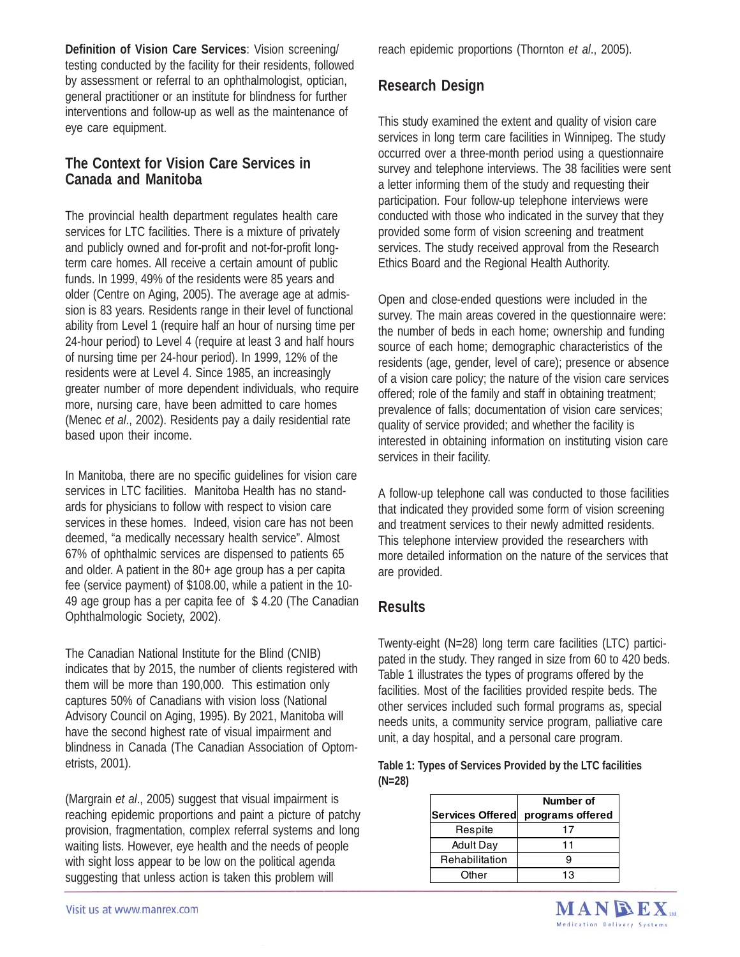**Definition of Vision Care Services**: Vision screening/ testing conducted by the facility for their residents, followed by assessment or referral to an ophthalmologist, optician, general practitioner or an institute for blindness for further interventions and follow-up as well as the maintenance of eye care equipment.

#### **The Context for Vision Care Services in Canada and Manitoba**

The provincial health department regulates health care services for LTC facilities. There is a mixture of privately and publicly owned and for-profit and not-for-profit longterm care homes. All receive a certain amount of public funds. In 1999, 49% of the residents were 85 years and older (Centre on Aging, 2005). The average age at admission is 83 years. Residents range in their level of functional ability from Level 1 (require half an hour of nursing time per 24-hour period) to Level 4 (require at least 3 and half hours of nursing time per 24-hour period). In 1999, 12% of the residents were at Level 4. Since 1985, an increasingly greater number of more dependent individuals, who require more, nursing care, have been admitted to care homes (Menec *et al*., 2002). Residents pay a daily residential rate based upon their income.

In Manitoba, there are no specific guidelines for vision care services in LTC facilities. Manitoba Health has no standards for physicians to follow with respect to vision care services in these homes. Indeed, vision care has not been deemed, "a medically necessary health service". Almost 67% of ophthalmic services are dispensed to patients 65 and older. A patient in the 80+ age group has a per capita fee (service payment) of \$108.00, while a patient in the 10- 49 age group has a per capita fee of \$ 4.20 (The Canadian Ophthalmologic Society, 2002).

The Canadian National Institute for the Blind (CNIB) indicates that by 2015, the number of clients registered with them will be more than 190,000. This estimation only captures 50% of Canadians with vision loss (National Advisory Council on Aging, 1995). By 2021, Manitoba will have the second highest rate of visual impairment and blindness in Canada (The Canadian Association of Optometrists, 2001).

(Margrain *et al*., 2005) suggest that visual impairment is reaching epidemic proportions and paint a picture of patchy provision, fragmentation, complex referral systems and long waiting lists. However, eye health and the needs of people with sight loss appear to be low on the political agenda suggesting that unless action is taken this problem will

reach epidemic proportions (Thornton *et al*., 2005).

## **Research Design**

This study examined the extent and quality of vision care services in long term care facilities in Winnipeg. The study occurred over a three-month period using a questionnaire survey and telephone interviews. The 38 facilities were sent a letter informing them of the study and requesting their participation. Four follow-up telephone interviews were conducted with those who indicated in the survey that they provided some form of vision screening and treatment services. The study received approval from the Research Ethics Board and the Regional Health Authority.

Open and close-ended questions were included in the survey. The main areas covered in the questionnaire were: the number of beds in each home; ownership and funding source of each home; demographic characteristics of the residents (age, gender, level of care); presence or absence of a vision care policy; the nature of the vision care services offered; role of the family and staff in obtaining treatment; prevalence of falls; documentation of vision care services; quality of service provided; and whether the facility is interested in obtaining information on instituting vision care services in their facility.

A follow-up telephone call was conducted to those facilities that indicated they provided some form of vision screening and treatment services to their newly admitted residents. This telephone interview provided the researchers with more detailed information on the nature of the services that are provided.

### **Results**

Twenty-eight (N=28) long term care facilities (LTC) participated in the study. They ranged in size from 60 to 420 beds. Table 1 illustrates the types of programs offered by the facilities. Most of the facilities provided respite beds. The other services included such formal programs as, special needs units, a community service program, palliative care unit, a day hospital, and a personal care program.

| Table 1: Types of Services Provided by the LTC facilities |  |  |
|-----------------------------------------------------------|--|--|
| $(N=28)$                                                  |  |  |

|                  | Number of        |  |
|------------------|------------------|--|
| Services Offered | programs offered |  |
| Respite          |                  |  |
| <b>Adult Day</b> | 1 T              |  |
| Rehabilitation   |                  |  |
| Other            |                  |  |

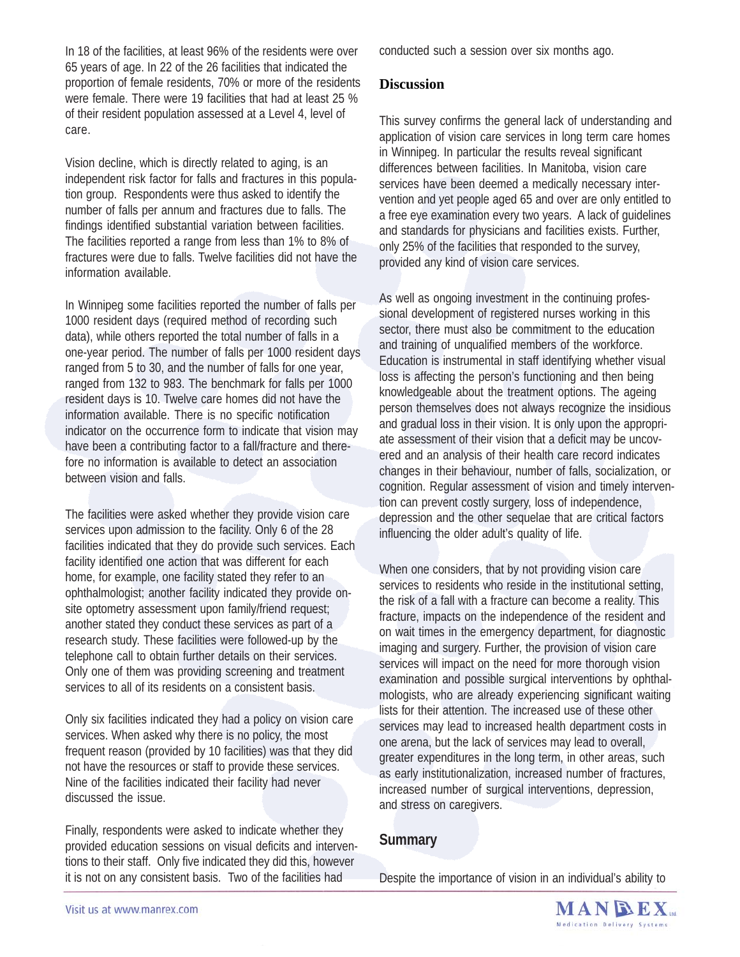In 18 of the facilities, at least 96% of the residents were over 65 years of age. In 22 of the 26 facilities that indicated the proportion of female residents, 70% or more of the residents were female. There were 19 facilities that had at least 25 % of their resident population assessed at a Level 4, level of care.

Vision decline, which is directly related to aging, is an independent risk factor for falls and fractures in this population group. Respondents were thus asked to identify the number of falls per annum and fractures due to falls. The findings identified substantial variation between facilities. The facilities reported a range from less than 1% to 8% of fractures were due to falls. Twelve facilities did not have the information available.

In Winnipeg some facilities reported the number of falls per 1000 resident days (required method of recording such data), while others reported the total number of falls in a one-year period. The number of falls per 1000 resident days ranged from 5 to 30, and the number of falls for one year, ranged from 132 to 983. The benchmark for falls per 1000 resident days is 10. Twelve care homes did not have the information available. There is no specific notification indicator on the occurrence form to indicate that vision may have been a contributing factor to a fall/fracture and therefore no information is available to detect an association between vision and falls.

The facilities were asked whether they provide vision care services upon admission to the facility. Only 6 of the 28 facilities indicated that they do provide such services. Each facility identified one action that was different for each home, for example, one facility stated they refer to an ophthalmologist; another facility indicated they provide onsite optometry assessment upon family/friend request; another stated they conduct these services as part of a research study. These facilities were followed-up by the telephone call to obtain further details on their services. Only one of them was providing screening and treatment services to all of its residents on a consistent basis.

Only six facilities indicated they had a policy on vision care services. When asked why there is no policy, the most frequent reason (provided by 10 facilities) was that they did not have the resources or staff to provide these services. Nine of the facilities indicated their facility had never discussed the issue.

Finally, respondents were asked to indicate whether they provided education sessions on visual deficits and interventions to their staff. Only five indicated they did this, however it is not on any consistent basis. Two of the facilities had

conducted such a session over six months ago.

#### **Discussion**

This survey confirms the general lack of understanding and application of vision care services in long term care homes in Winnipeg. In particular the results reveal significant differences between facilities. In Manitoba, vision care services have been deemed a medically necessary intervention and yet people aged 65 and over are only entitled to a free eye examination every two years. A lack of guidelines and standards for physicians and facilities exists. Further, only 25% of the facilities that responded to the survey, provided any kind of vision care services.

As well as ongoing investment in the continuing professional development of registered nurses working in this sector, there must also be commitment to the education and training of unqualified members of the workforce. Education is instrumental in staff identifying whether visual loss is affecting the person's functioning and then being knowledgeable about the treatment options. The ageing person themselves does not always recognize the insidious and gradual loss in their vision. It is only upon the appropriate assessment of their vision that a deficit may be uncovered and an analysis of their health care record indicates changes in their behaviour, number of falls, socialization, or cognition. Regular assessment of vision and timely intervention can prevent costly surgery, loss of independence, depression and the other sequelae that are critical factors influencing the older adult's quality of life.

When one considers, that by not providing vision care services to residents who reside in the institutional setting, the risk of a fall with a fracture can become a reality. This fracture, impacts on the independence of the resident and on wait times in the emergency department, for diagnostic imaging and surgery. Further, the provision of vision care services will impact on the need for more thorough vision examination and possible surgical interventions by ophthalmologists, who are already experiencing significant waiting lists for their attention. The increased use of these other services may lead to increased health department costs in one arena, but the lack of services may lead to overall, greater expenditures in the long term, in other areas, such as early institutionalization, increased number of fractures, increased number of surgical interventions, depression, and stress on caregivers.

### **Summary**

Despite the importance of vision in an individual's ability to